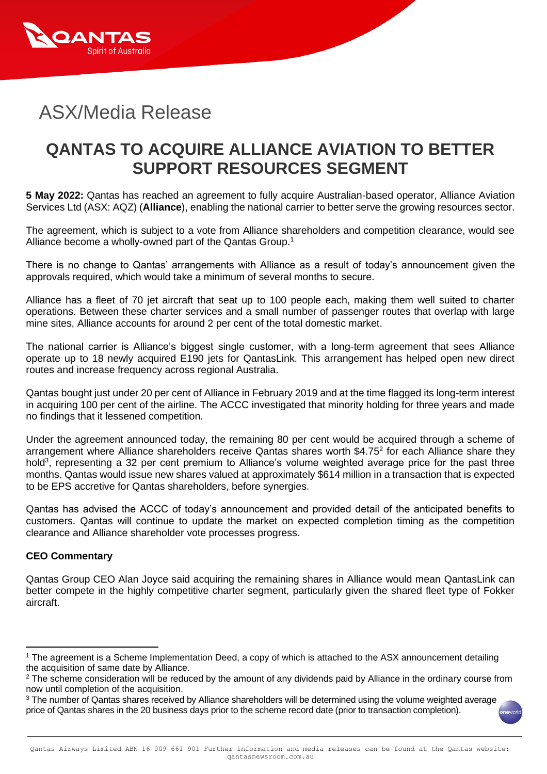

## ASX/Media Release

## **QANTAS TO ACQUIRE ALLIANCE AVIATION TO BETTER SUPPORT RESOURCES SEGMENT**

**5 May 2022:** Qantas has reached an agreement to fully acquire Australian-based operator, Alliance Aviation Services Ltd (ASX: AQZ) (**Alliance**), enabling the national carrier to better serve the growing resources sector.

The agreement, which is subject to a vote from Alliance shareholders and competition clearance, would see Alliance become a wholly-owned part of the Qantas Group.<sup>1</sup>

There is no change to Qantas' arrangements with Alliance as a result of today's announcement given the approvals required, which would take a minimum of several months to secure.

Alliance has a fleet of 70 jet aircraft that seat up to 100 people each, making them well suited to charter operations. Between these charter services and a small number of passenger routes that overlap with large mine sites, Alliance accounts for around 2 per cent of the total domestic market.

The national carrier is Alliance's biggest single customer, with a long-term agreement that sees Alliance operate up to 18 newly acquired E190 jets for QantasLink. This arrangement has helped open new direct routes and increase frequency across regional Australia.

Qantas bought just under 20 per cent of Alliance in February 2019 and at the time flagged its long-term interest in acquiring 100 per cent of the airline. The ACCC investigated that minority holding for three years and made no findings that it lessened competition.

Under the agreement announced today, the remaining 80 per cent would be acquired through a scheme of arrangement where Alliance shareholders receive Qantas shares worth \$4.75<sup>2</sup> for each Alliance share they hold<sup>3</sup>, representing a 32 per cent premium to Alliance's volume weighted average price for the past three months. Qantas would issue new shares valued at approximately \$614 million in a transaction that is expected to be EPS accretive for Qantas shareholders, before synergies.

Qantas has advised the ACCC of today's announcement and provided detail of the anticipated benefits to customers. Qantas will continue to update the market on expected completion timing as the competition clearance and Alliance shareholder vote processes progress.

## **CEO Commentary**

Qantas Group CEO Alan Joyce said acquiring the remaining shares in Alliance would mean QantasLink can better compete in the highly competitive charter segment, particularly given the shared fleet type of Fokker aircraft.

<sup>3</sup> The number of Qantas shares received by Alliance shareholders will be determined using the volume weighted average price of Qantas shares in the 20 business days prior to the scheme record date (prior to transaction completion).

<sup>1</sup> The agreement is a Scheme Implementation Deed, a copy of which is attached to the ASX announcement detailing the acquisition of same date by Alliance.

<sup>&</sup>lt;sup>2</sup> The scheme consideration will be reduced by the amount of any dividends paid by Alliance in the ordinary course from now until completion of the acquisition.